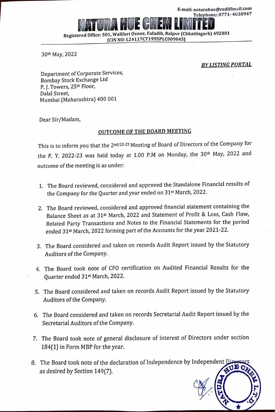**liet CIEM LIME 1022 Registered Office: 501, Wall fort Ozone, Fafadih, Raipur (Chhattisgarh) 492001 [CIN NO: L24117CT1995PLC009845]** 

30th May, 2022

r

## *BY LISTING PORTAL*

Department of Corporate Services, Bombay Stock Exchange Ltd P. J. Towers, 25<sup>th</sup> Floor, Dalal Street, Mumbai (Maharashtra) 400 001

Dear Sir/Madam,

## **OUTCOME OF THE BOARD MEETING**

This is to inform you that the 2<sup>nd/22-23</sup> Meeting of Board of Directors of the Company for the F. Y. 2022-23 was held today at 1.00 P.M on Monday, the 30<sup>th</sup> May, 2022 and outcome of the meeting is as under:

- 1. The Board reviewed, considered and approved the Standalone Financial results of the Company for the Quarter and year ended on 31st March, 2022.
- 2. The Board reviewed, considered and approved financial statement containing the Balance Sheet as at 31st March, 2022 and Statement of Profit & Loss, Cash Flow, Related Party Transactions and Notes to the Financial Statements for the period ended 31st March, 2022 forming part of the Accounts for the year 2021-22.
- 3. The Board considered and taken on records Audit Report issued by the Statutory Auditors of the Company.
- 4. The Board took note of CFO certification on Audited Financial Results for the Quarter ended 31st March, 2022.
- 5. The Board considered and taken on records Audit Report issued by the Statutory Auditors of the Company.
- 6. The Board considered and taken on records Secretarial Audit Report issued by the Secretarial Auditors of the Company.
- 7. The Board took note of general disclosure of interest of Directors under section 184(1) in Form MBP for the year.
- 8. The Board took note of the declaration of Independence by Independent [ as desired by Section 149(7).